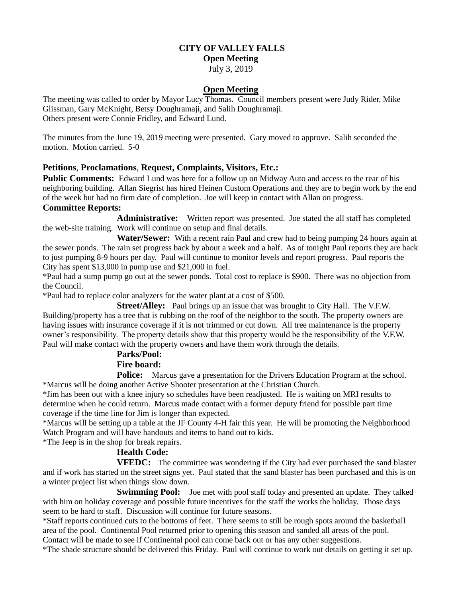## **CITY OF VALLEY FALLS**

**Open Meeting**

July 3, 2019

## **Open Meeting**

The meeting was called to order by Mayor Lucy Thomas. Council members present were Judy Rider, Mike Glissman, Gary McKnight, Betsy Doughramaji, and Salih Doughramaji. Others present were Connie Fridley, and Edward Lund.

The minutes from the June 19, 2019 meeting were presented. Gary moved to approve. Salih seconded the motion. Motion carried. 5-0

## **Petitions**, **Proclamations**, **Request, Complaints, Visitors, Etc.:**

**Public Comments:** Edward Lund was here for a follow up on Midway Auto and access to the rear of his neighboring building. Allan Siegrist has hired Heinen Custom Operations and they are to begin work by the end of the week but had no firm date of completion. Joe will keep in contact with Allan on progress.

## **Committee Reports:**

**Administrative:** Written report was presented. Joe stated the all staff has completed the web-site training. Work will continue on setup and final details.

 **Water/Sewer:** With a recent rain Paul and crew had to being pumping 24 hours again at the sewer ponds. The rain set progress back by about a week and a half. As of tonight Paul reports they are back to just pumping 8-9 hours per day. Paul will continue to monitor levels and report progress. Paul reports the City has spent \$13,000 in pump use and \$21,000 in fuel.

\*Paul had a sump pump go out at the sewer ponds. Total cost to replace is \$900. There was no objection from the Council.

\*Paul had to replace color analyzers for the water plant at a cost of \$500.

**Street/Alley:** Paul brings up an issue that was brought to City Hall. The V.F.W. Building/property has a tree that is rubbing on the roof of the neighbor to the south. The property owners are having issues with insurance coverage if it is not trimmed or cut down. All tree maintenance is the property owner's responsibility. The property details show that this property would be the responsibility of the V.F.W. Paul will make contact with the property owners and have them work through the details.

# **Parks/Pool:**

## **Fire board:**

**Police:** Marcus gave a presentation for the Drivers Education Program at the school. \*Marcus will be doing another Active Shooter presentation at the Christian Church.

\*Jim has been out with a knee injury so schedules have been readjusted. He is waiting on MRI results to determine when he could return. Marcus made contact with a former deputy friend for possible part time coverage if the time line for Jim is longer than expected.

\*Marcus will be setting up a table at the JF County 4-H fair this year. He will be promoting the Neighborhood Watch Program and will have handouts and items to hand out to kids.

\*The Jeep is in the shop for break repairs.

## **Health Code:**

**VFEDC:** The committee was wondering if the City had ever purchased the sand blaster and if work has started on the street signs yet. Paul stated that the sand blaster has been purchased and this is on a winter project list when things slow down.

**Swimming Pool:** Joe met with pool staff today and presented an update. They talked with him on holiday coverage and possible future incentives for the staff the works the holiday. Those days seem to be hard to staff. Discussion will continue for future seasons.

\*Staff reports continued cuts to the bottoms of feet. There seems to still be rough spots around the basketball area of the pool. Continental Pool returned prior to opening this season and sanded all areas of the pool. Contact will be made to see if Continental pool can come back out or has any other suggestions.

\*The shade structure should be delivered this Friday. Paul will continue to work out details on getting it set up.